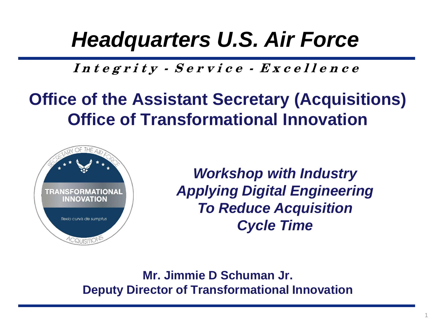## *Headquarters U.S. Air Force*

**I n t e g r i t y - S e r v i c e - E x c e l l e n c e**

## **Office of the Assistant Secretary (Acquisitions) Office of Transformational Innovation**



 *Workshop with Industry Applying Digital Engineering To Reduce Acquisition Cycle Time*

**Mr. Jimmie D Schuman Jr. Deputy Director of Transformational Innovation**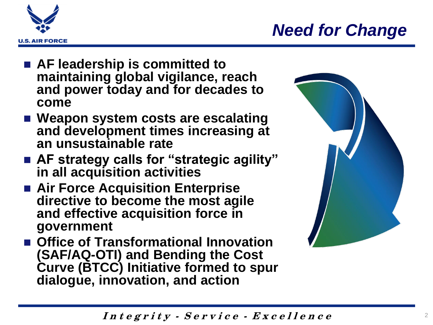

## *Need for Change*

- **AF leadership is committed to maintaining global vigilance, reach and power today and for decades to come**
- Weapon system costs are escalating **and development times increasing at an unsustainable rate**
- **AF strategy calls for "strategic agility" in all acquisition activities**
- **Air Force Acquisition Enterprise directive to become the most agile and effective acquisition force in government**
- **Office of Transformational Innovation (SAF/AQ-OTI) and Bending the Cost Curve (BTCC) Initiative formed to spur dialogue, innovation, and action**



**I n t e g r i t y - S e r v i c e - E x c e l l e n c e**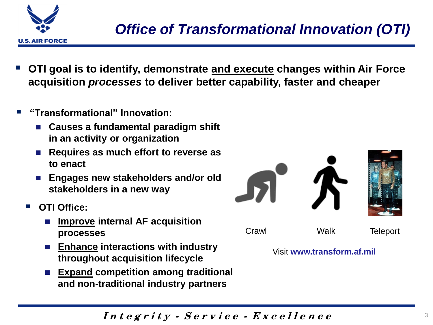

- **OTI goal is to identify, demonstrate and execute changes within Air Force acquisition** *processes* **to deliver better capability, faster and cheaper**
- **"Transformational" Innovation:**
	- **Causes a fundamental paradigm shift in an activity or organization**
	- **Requires as much effort to reverse as to enact**
	- **Engages new stakeholders and/or old stakeholders in a new way**
	- **OTI Office:**
		- **Improve internal AF acquisition processes**
		- **Enhance interactions with industry throughout acquisition lifecycle**
		- **Expand competition among traditional and non-traditional industry partners**



Visit **www.transform.af.mil**

**I n t e g r i t y - S e r v i c e - E x c e l l e n c e**